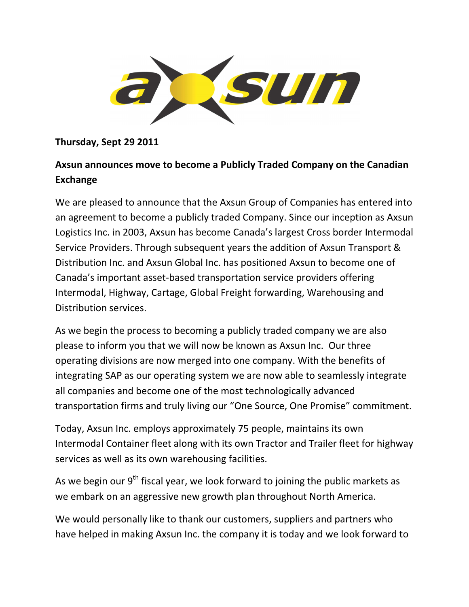

## Thursday, Sept 29 2011

## Axsun announces move to become a Publicly Traded Company on the Canadian Exchange

We are pleased to announce that the Axsun Group of Companies has entered into an agreement to become a publicly traded Company. Since our inception as Axsun Logistics Inc. in 2003, Axsun has become Canada's largest Cross border Intermodal Service Providers. Through subsequent years the addition of Axsun Transport & Distribution Inc. and Axsun Global Inc. has positioned Axsun to become one of Canada's important asset-based transportation service providers offering Intermodal, Highway, Cartage, Global Freight forwarding, Warehousing and Distribution services.

As we begin the process to becoming a publicly traded company we are also please to inform you that we will now be known as Axsun Inc. Our three operating divisions are now merged into one company. With the benefits of integrating SAP as our operating system we are now able to seamlessly integrate all companies and become one of the most technologically advanced transportation firms and truly living our "One Source, One Promise" commitment.

Today, Axsun Inc. employs approximately 75 people, maintains its own Intermodal Container fleet along with its own Tractor and Trailer fleet for highway services as well as its own warehousing facilities.

As we begin our  $9<sup>th</sup>$  fiscal year, we look forward to joining the public markets as we embark on an aggressive new growth plan throughout North America.

We would personally like to thank our customers, suppliers and partners who have helped in making Axsun Inc. the company it is today and we look forward to